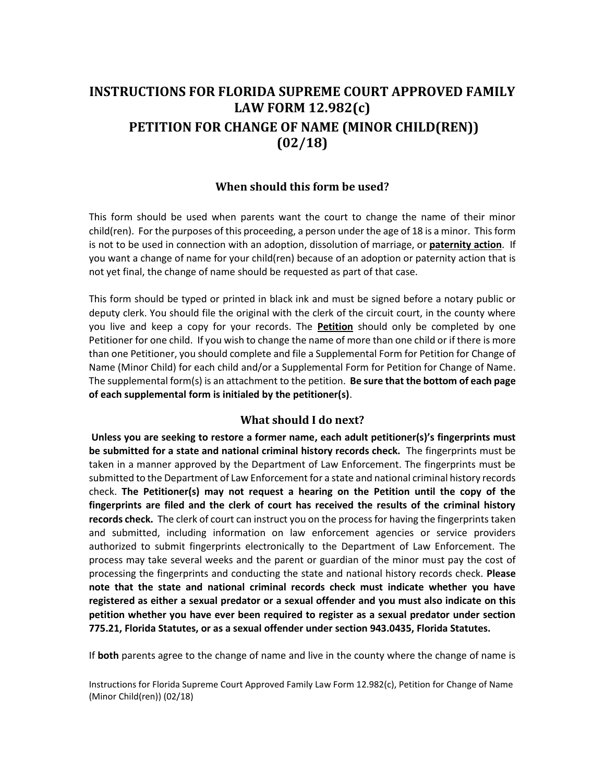# **PETITION FOR CHANGE OF NAME (MINOR CHILD(REN)) (02/18) INSTRUCTIONS FOR FLORIDA SUPREME COURT APPROVED FAMILY LAW FORM 12.982(c)**

### **When should this form be used?**

 This form should be used when parents want the court to change the name of their minor child(ren). For the purposes of this proceeding, a person under the age of 18 is a minor. This form is not to be used in connection with an adoption, dissolution of marriage, or **paternity action**. If you want a change of name for your child(ren) because of an adoption or paternity action that is not yet final, the change of name should be requested as part of that case.

 This form should be typed or printed in black ink and must be signed before a notary public or deputy clerk. You should file the original with the clerk of the circuit court, in the county where you live and keep a copy for your records. The **Petition** should only be completed by one Petitioner for one child. If you wish to change the name of more than one child or if there is more than one Petitioner, you should complete and file a Supplemental Form for Petition for Change of Name (Minor Child) for each child and/or a Supplemental Form for Petition for Change of Name. The supplemental form(s) is an attachment to the petition. **Be sure that the bottom of each page of each supplemental form is initialed by the petitioner(s)**.

### **What should I do next?**

 **Unless you are seeking to restore a former name, each adult petitioner(s)'s fingerprints must be submitted for a state and national criminal history records check.** The fingerprints must be taken in a manner approved by the Department of Law Enforcement. The fingerprints must be submitted to the Department of Law Enforcement for a state and national criminal history records  check. **The Petitioner(s) may not request a hearing on the Petition until the copy of the fingerprints are filed and the clerk of court has received the results of the criminal history records check.** The clerk of court can instruct you on the process for having the fingerprints taken and submitted, including information on law enforcement agencies or service providers authorized to submit fingerprints electronically to the Department of Law Enforcement. The process may take several weeks and the parent or guardian of the minor must pay the cost of processing the fingerprints and conducting the state and national history records check. **Please note that the state and national criminal records check must indicate whether you have registered as either a sexual predator or a sexual offender and you must also indicate on this petition whether you have ever been required to register as a sexual predator under section 775.21, Florida Statutes, or as a sexual offender under section 943.0435, Florida Statutes.** 

If **both** parents agree to the change of name and live in the county where the change of name is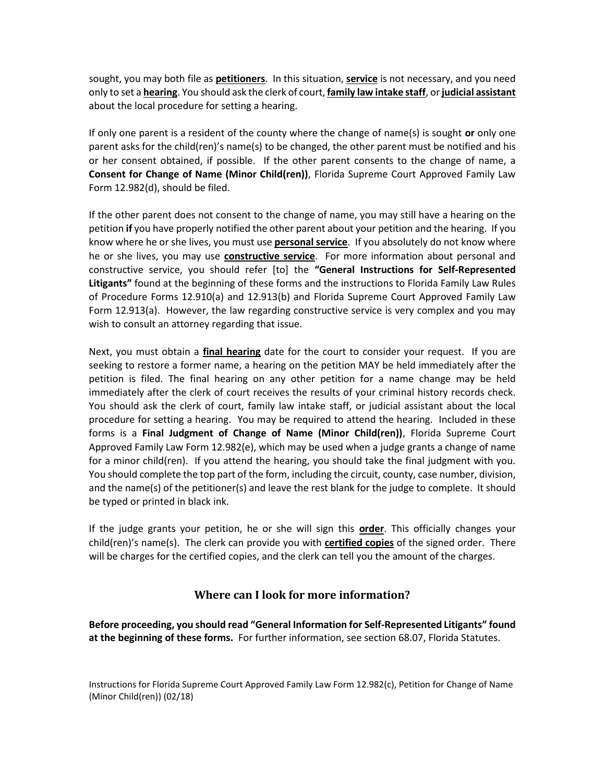only to set a **hearing**. You should ask the clerk of court, **family law intake staff**, or **judicial assistant**  sought, you may both file as **petitioners**. In this situation, **service** is not necessary, and you need about the local procedure for setting a hearing.

 If only one parent is a resident of the county where the change of name(s) is sought **or** only one  **Consent for Change of Name (Minor Child(ren))**, Florida Supreme Court Approved Family Law parent asks for the child(ren)'s name(s) to be changed, the other parent must be notified and his or her consent obtained, if possible. If the other parent consents to the change of name, a Form 12.982(d), should be filed.

 If the other parent does not consent to the change of name, you may still have a hearing on the petition **if** you have properly notified the other parent about your petition and the hearing. If you know where he or she lives, you must use **personal service**. If you absolutely do not know where he or she lives, you may use **constructive service**. For more information about personal and constructive service, you should refer [to] the **"General Instructions for Self-Represented Litigants"** found at the beginning of these forms and the instructions to Florida Family Law Rules of Procedure Forms 12.910(a) and 12.913(b) and Florida Supreme Court Approved Family Law Form 12.913(a). However, the law regarding constructive service is very complex and you may wish to consult an attorney regarding that issue.

 Next, you must obtain a **final hearing** date for the court to consider your request. If you are seeking to restore a former name, a hearing on the petition MAY be held immediately after the petition is filed. The final hearing on any other petition for a name change may be held You should ask the clerk of court, family law intake staff, or judicial assistant about the local procedure for setting a hearing. You may be required to attend the hearing. Included in these for a minor child(ren). If you attend the hearing, you should take the final judgment with you. You should complete the top part of the form, including the circuit, county, case number, division, and the name(s) of the petitioner(s) and leave the rest blank for the judge to complete. It should immediately after the clerk of court receives the results of your criminal history records check. forms is a **Final Judgment of Change of Name (Minor Child(ren))**, Florida Supreme Court Approved Family Law Form 12.982(e), which may be used when a judge grants a change of name be typed or printed in black ink.

 If the judge grants your petition, he or she will sign this **order**. This officially changes your child(ren)'s name(s). The clerk can provide you with **certified copies** of the signed order. There will be charges for the certified copies, and the clerk can tell you the amount of the charges.

### **Where can I look for more information?**

 **Before proceeding, you should read "General Information for Self-Represented Litigants" found at the beginning of these forms.** For further information, see section 68.07, Florida Statutes.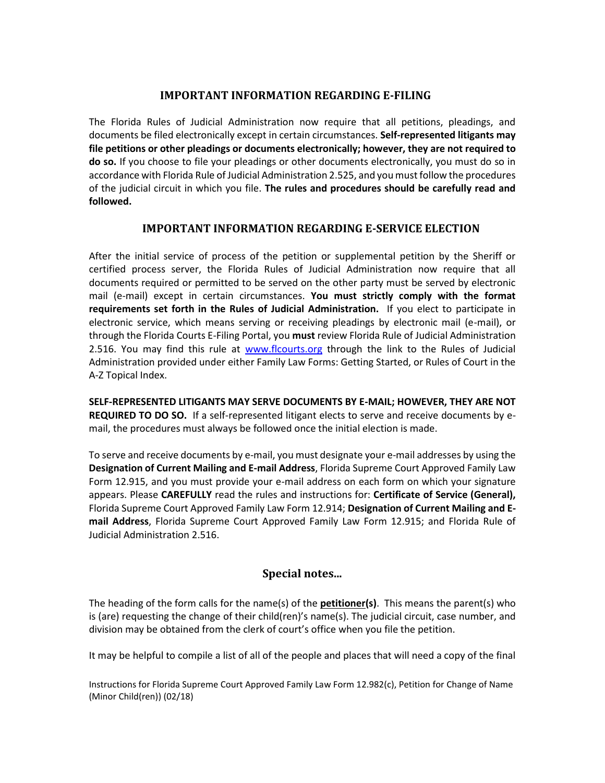### **IMPORTANT INFORMATION REGARDING E-FILING**

 The Florida Rules of Judicial Administration now require that all petitions, pleadings, and documents be filed electronically except in certain circumstances. **Self-represented litigants may file petitions or other pleadings or documents electronically; however, they are not required to do so.** If you choose to file your pleadings or other documents electronically, you must do so in accordance with Florida Rule of Judicial Administration 2.525, and you must follow the procedures of the judicial circuit in which you file. **The rules and procedures should be carefully read and followed.** 

### **IMPORTANT INFORMATION REGARDING E-SERVICE ELECTION**

 After the initial service of process of the petition or supplemental petition by the Sheriff or certified process server, the Florida Rules of Judicial Administration now require that all documents required or permitted to be served on the other party must be served by electronic mail (e-mail) except in certain circumstances. **You must strictly comply with the format requirements set forth in the Rules of Judicial Administration.** If you elect to participate in electronic service, which means serving or receiving pleadings by electronic mail (e-mail), or through the Florida Courts E-Filing Portal, you **must** review Florida Rule of Judicial Administration 2.516. You may find this rule at [www.flcourts.org](http://www.flcourts.org/) through the link to the Rules of Judicial Administration provided under either Family Law Forms: Getting Started, or Rules of Court in the A-Z Topical Index.

 **SELF-REPRESENTED LITIGANTS MAY SERVE DOCUMENTS BY E-MAIL; HOWEVER, THEY ARE NOT REQUIRED TO DO SO.** If a self-represented litigant elects to serve and receive documents by email, the procedures must always be followed once the initial election is made.

 To serve and receive documents by e-mail, you must designate your e-mail addresses by using the  **Designation of Current Mailing and E-mail Address**, Florida Supreme Court Approved Family Law Form 12.915, and you must provide your e-mail address on each form on which your signature appears. Please **CAREFULLY** read the rules and instructions for: **Certificate of Service (General),**  Florida Supreme Court Approved Family Law Form 12.914; **Designation of Current Mailing and E- mail Address**, Florida Supreme Court Approved Family Law Form 12.915; and Florida Rule of Judicial Administration 2.516.

### **Special notes...**

 The heading of the form calls for the name(s) of the **petitioner(s)**. This means the parent(s) who is (are) requesting the change of their child(ren)'s name(s). The judicial circuit, case number, and division may be obtained from the clerk of court's office when you file the petition.

It may be helpful to compile a list of all of the people and places that will need a copy of the final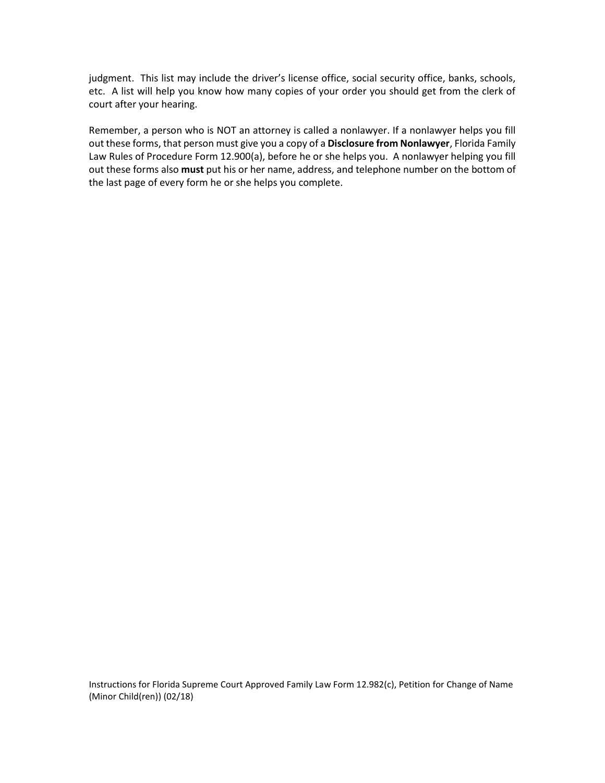judgment. This list may include the driver's license office, social security office, banks, schools, etc. A list will help you know how many copies of your order you should get from the clerk of court after your hearing.

 Remember, a person who is NOT an attorney is called a nonlawyer. If a nonlawyer helps you fill out these forms, that person must give you a copy of a **Disclosure from Nonlawyer**, Florida Family out these forms also **must** put his or her name, address, and telephone number on the bottom of Law Rules of Procedure Form 12.900(a), before he or she helps you. A nonlawyer helping you fill the last page of every form he or she helps you complete.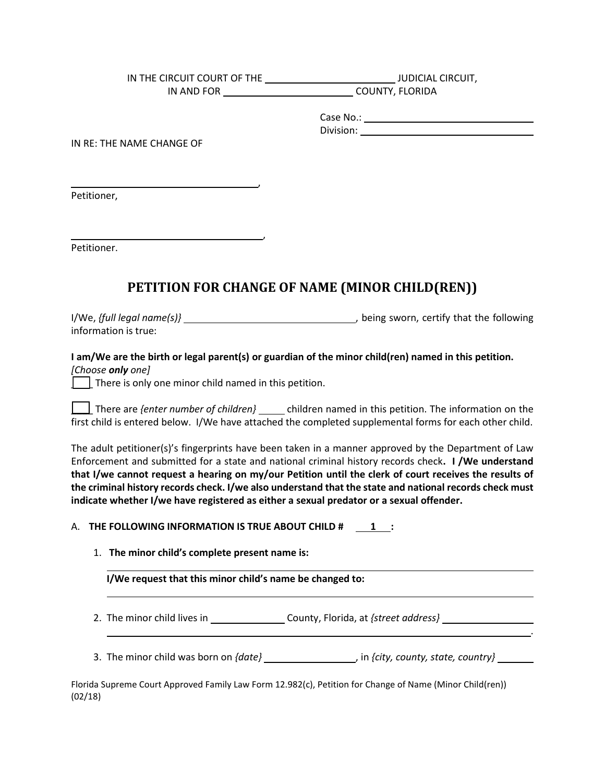IN THE CIRCUIT COURT OF THE \_\_\_\_\_\_\_\_\_\_\_\_\_\_\_\_\_\_\_\_\_\_\_\_\_\_\_\_\_\_\_\_\_JUDICIAL CIRCUIT, IN AND FOR COUNTY, FLORIDA

,

,

 Division: the contract of the contract of the contract of the contract of the contract of the contract of the contract of the contract of the contract of the contract of the contract of the contract of the contract of the

.

IN RE: THE NAME CHANGE OF

Petitioner,

L

L

Petitioner.

 $\overline{\phantom{0}}$ 

L

L

## **PETITION FOR CHANGE OF NAME (MINOR CHILD(REN))**

 I/We, *{full legal name(s)}* , being sworn, certify that the following information is true:

### **I am/We are the birth or legal parent(s) or guardian of the minor child(ren) named in this petition.**   *[Choose only one]*

 $\Box$  There is only one minor child named in this petition.

 \_\_\_\_ There are *{enter number of children}* children named in this petition. The information on the first child is entered below. I/We have attached the completed supplemental forms for each other child.

 The adult petitioner(s)'s fingerprints have been taken in a manner approved by the Department of Law Enforcement and submitted for a state and national criminal history records check**. I /We understand that I/we cannot request a hearing on my/our Petition until the clerk of court receives the results of the criminal history records check. I/we also understand that the state and national records check must indicate whether I/we have registered as either a sexual predator or a sexual offender.** 

A. THE FOLLOWING INFORMATION IS TRUE ABOUT CHILD #  $\quad \underline{\quad 1} \quad :$ 

 1. **The minor child's complete present name is:**

**I/We request that this minor child's name be changed to:**

2. The minor child lives in \_\_\_\_\_\_\_\_\_\_\_\_\_\_\_\_\_County, Florida, at *{street address}* 

3. The minor child was born on {date} **, in** {city, county, state, country}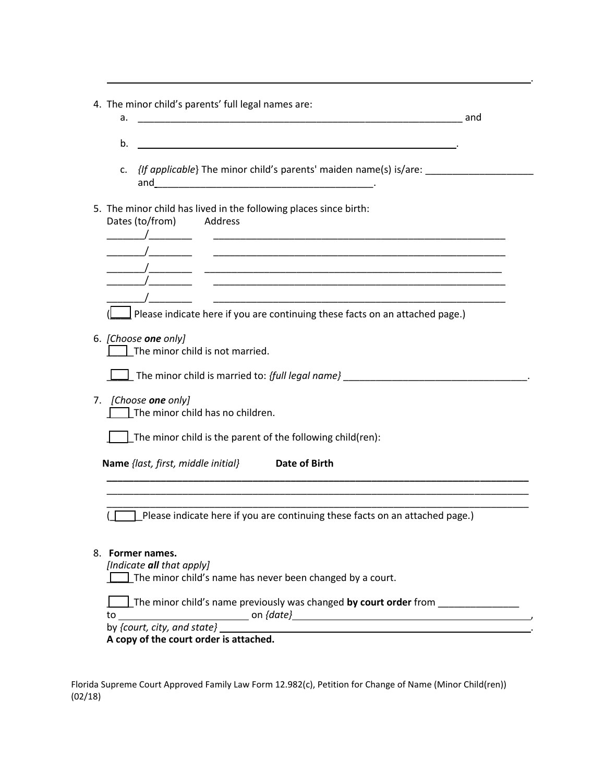|  |  | 4. The minor child's parents' full legal names are: |  |  |
|--|--|-----------------------------------------------------|--|--|
|--|--|-----------------------------------------------------|--|--|

 $\overline{\phantom{0}}$ 

| -<br>а. |  |
|---------|--|
|         |  |
| N.      |  |
|         |  |

.

- c. {If applicable} The minor child's parents' maiden name(s) is/are: \_\_\_\_\_\_\_\_\_\_\_\_\_\_\_\_\_\_ and \_\_\_\_\_\_\_\_\_\_\_\_\_\_\_\_\_\_\_\_\_\_\_\_\_\_\_\_\_\_\_\_\_\_\_\_\_\_\_\_.
- 5. The minor child has lived in the following places since birth:

|    | Dates (to/from)<br>Address                                                                                                                                                                                                           |
|----|--------------------------------------------------------------------------------------------------------------------------------------------------------------------------------------------------------------------------------------|
|    | <u> 1989 - Johann Harry Harry Harry Harry Harry Harry Harry Harry Harry Harry Harry Harry Harry Harry Harry Harry Harry Harry Harry Harry Harry Harry Harry Harry Harry Harry Harry Harry Harry Harry Harry Harry Harry Harry Ha</u> |
|    | <u> 1989 - Johann John Harry, mars and deutscher Amerikaanse kommunister († 1908)</u>                                                                                                                                                |
|    | <u> 1989 - Johann Stoff, amerikansk politiker (d. 1989)</u>                                                                                                                                                                          |
|    |                                                                                                                                                                                                                                      |
|    | Please indicate here if you are continuing these facts on an attached page.)                                                                                                                                                         |
|    | 6. [Choose one only]<br>The minor child is not married.                                                                                                                                                                              |
|    |                                                                                                                                                                                                                                      |
| 7. | [Choose <b>one</b> only]<br>The minor child has no children.                                                                                                                                                                         |
|    | The minor child is the parent of the following child(ren):                                                                                                                                                                           |
|    | Name {last, first, middle initial} Date of Birth                                                                                                                                                                                     |
|    |                                                                                                                                                                                                                                      |
|    | Please indicate here if you are continuing these facts on an attached page.)                                                                                                                                                         |
| 8. | Former names.<br>[Indicate all that apply]                                                                                                                                                                                           |
|    | $\Box$ The minor child's name has never been changed by a court.                                                                                                                                                                     |
|    | The minor child's name previously was changed by court order from<br>$\qquad \qquad \text{on $\{date\}}$<br>to                                                                                                                       |
|    | by {court, city, and state}                                                                                                                                                                                                          |

**A copy of the court order is attached.**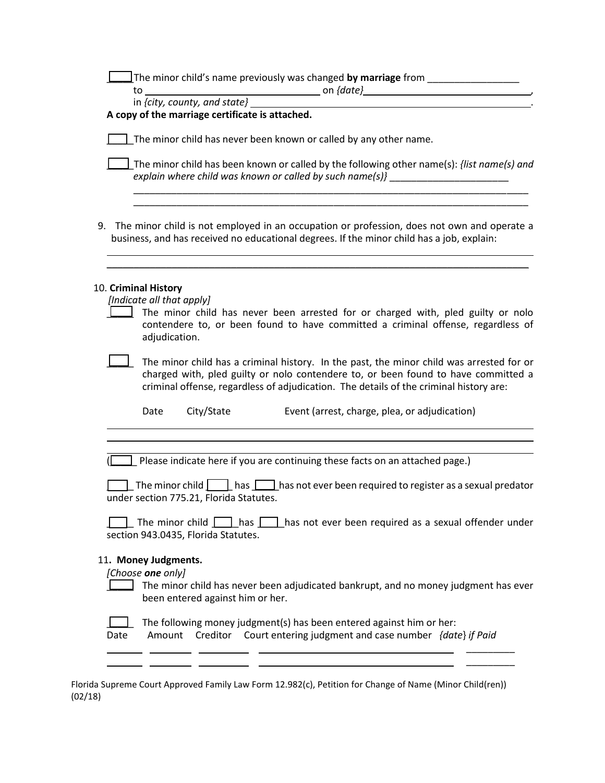| The minor child's name previously was changed by marriage from _________________                                                                                                                                                                                         |
|--------------------------------------------------------------------------------------------------------------------------------------------------------------------------------------------------------------------------------------------------------------------------|
| in {city, county, and state}                                                                                                                                                                                                                                             |
| A copy of the marriage certificate is attached.                                                                                                                                                                                                                          |
| The minor child has never been known or called by any other name.                                                                                                                                                                                                        |
| The minor child has been known or called by the following other name(s): {list name(s) and<br>explain where child was known or called by such name(s)}                                                                                                                   |
| 9. The minor child is not employed in an occupation or profession, does not own and operate a<br>business, and has received no educational degrees. If the minor child has a job, explain:                                                                               |
| 10. Criminal History<br>[Indicate all that apply]<br>The minor child has never been arrested for or charged with, pled guilty or nolo<br>contendere to, or been found to have committed a criminal offense, regardless of<br>adjudication.                               |
| The minor child has a criminal history. In the past, the minor child was arrested for or<br>charged with, pled guilty or nolo contendere to, or been found to have committed a<br>criminal offense, regardless of adjudication. The details of the criminal history are: |
| City/State<br>Event (arrest, charge, plea, or adjudication)<br>Date                                                                                                                                                                                                      |
|                                                                                                                                                                                                                                                                          |
| Please indicate here if you are continuing these facts on an attached page.)                                                                                                                                                                                             |
| The minor child $\Box$ has $\Box$ has not ever been required to register as a sexual predator<br>under section 775.21, Florida Statutes.                                                                                                                                 |
| The minor child $\Box$ has $\Box$ has not ever been required as a sexual offender under<br>section 943.0435, Florida Statutes.                                                                                                                                           |
| 11. Money Judgments.                                                                                                                                                                                                                                                     |
| [Choose one only]<br>The minor child has never been adjudicated bankrupt, and no money judgment has ever                                                                                                                                                                 |
| been entered against him or her.                                                                                                                                                                                                                                         |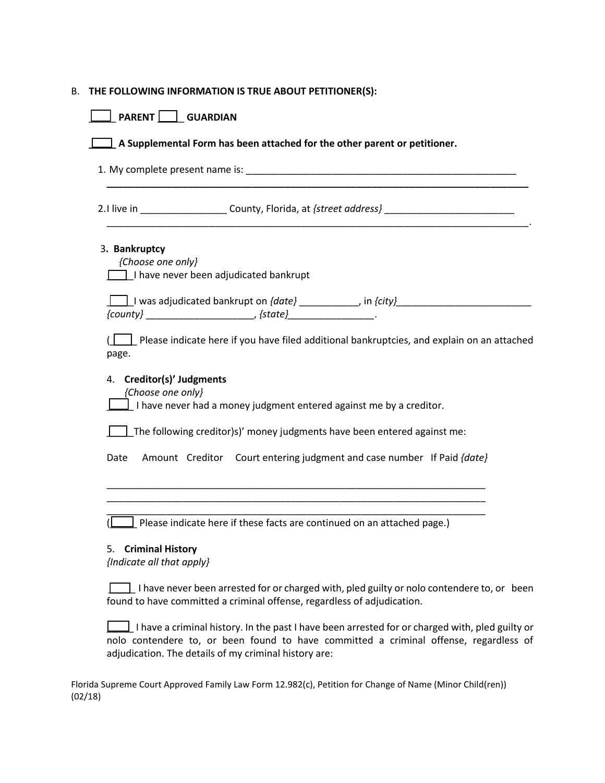### B. **THE FOLLOWING INFORMATION IS TRUE ABOUT PETITIONER(S):**

|                                    | 2.I live in _____________________County, Florida, at {street address} _____________________________                               |  |
|------------------------------------|-----------------------------------------------------------------------------------------------------------------------------------|--|
| 3. Bankruptcy<br>{Choose one only} | $\Box$ I have never been adjudicated bankrupt                                                                                     |  |
|                                    |                                                                                                                                   |  |
| page.                              | $\Box$ Please indicate here if you have filed additional bankruptcies, and explain on an attached                                 |  |
| 4.                                 | <b>Creditor(s)' Judgments</b><br>{Choose one only}<br>$\perp$ I have never had a money judgment entered against me by a creditor. |  |
|                                    | The following creditor)s)' money judgments have been entered against me:                                                          |  |
|                                    |                                                                                                                                   |  |
| Date                               | Amount Creditor Court entering judgment and case number If Paid {date}                                                            |  |
|                                    | <u> 1980 - Johann John Stoff, deutscher Stoff als der Stoff als der Stoff als der Stoff als der Stoff als der Stoff</u>           |  |

 *\_\_\_\_\_* I have never been arrested for or charged with, pled guilty or nolo contendere to, or been found to have committed a criminal offense, regardless of adjudication.

 $\bigsqcup$  I have a criminal history. In the past I have been arrested for or charged with, pled guilty or nolo contendere to, or been found to have committed a criminal offense, regardless of adjudication. The details of my criminal history are: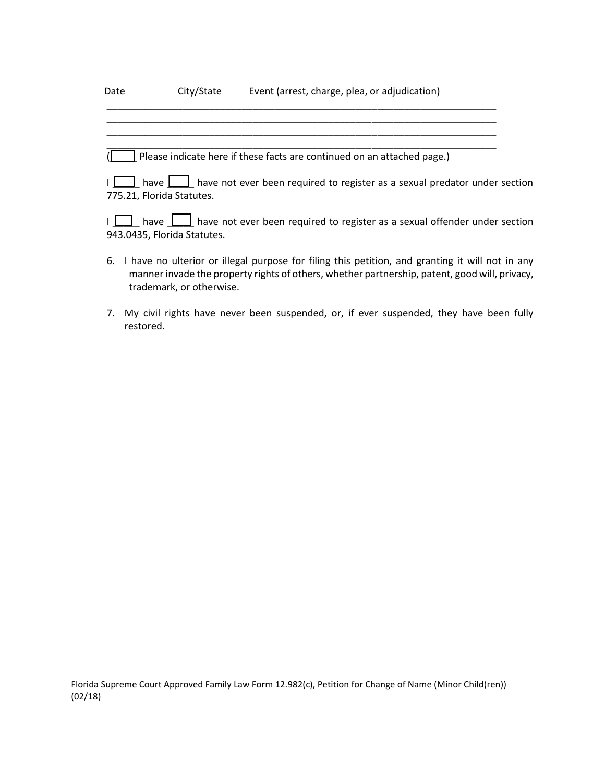| Date | City/State                  | Event (arrest, charge, plea, or adjudication)                                                                                                                                                       |
|------|-----------------------------|-----------------------------------------------------------------------------------------------------------------------------------------------------------------------------------------------------|
|      |                             |                                                                                                                                                                                                     |
|      |                             | Please indicate here if these facts are continued on an attached page.)                                                                                                                             |
|      | 775.21, Florida Statutes.   | have $\lfloor \cdot \rfloor$ have not ever been required to register as a sexual predator under section                                                                                             |
|      | 943.0435, Florida Statutes. | have <b>b</b> have not ever been required to register as a sexual offender under section                                                                                                            |
|      |                             | 6. I have no ulterior or illegal purpose for filing this petition, and granting it will not in any<br>manner invade the property rights of others, whether partnership, patent, good will, privacy, |

- trademark, or otherwise.
- 7. My civil rights have never been suspended, or, if ever suspended, they have been fully restored.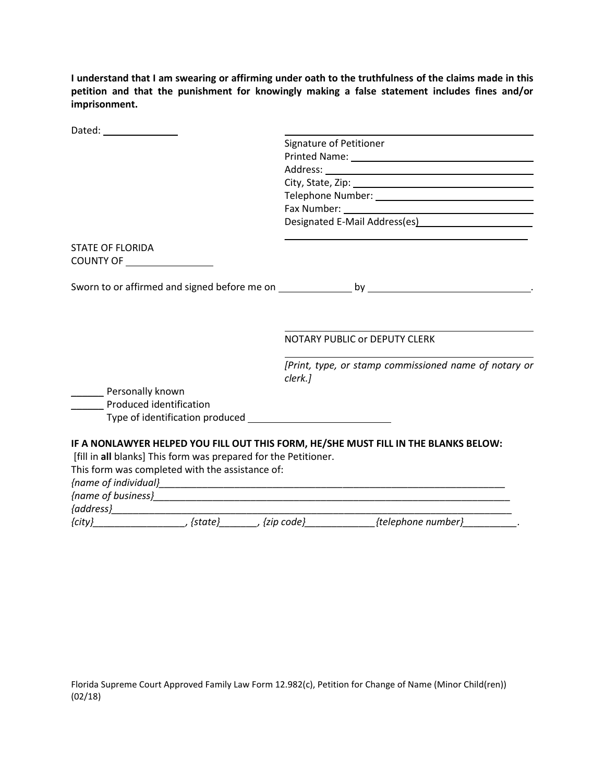**I understand that I am swearing or affirming under oath to the truthfulness of the claims made in this petition and that the punishment for knowingly making a false statement includes fines and/or imprisonment.** 

| Dated: ________________                                                          |                                                                                                                |
|----------------------------------------------------------------------------------|----------------------------------------------------------------------------------------------------------------|
|                                                                                  | Signature of Petitioner                                                                                        |
|                                                                                  |                                                                                                                |
|                                                                                  |                                                                                                                |
|                                                                                  | City, State, Zip: 1988. 2012. 2014. 2015. 2016. 2017. 2018. 2019. 2017. 2018. 2019. 2017. 2018. 2019. 2017. 20 |
|                                                                                  |                                                                                                                |
|                                                                                  |                                                                                                                |
|                                                                                  | Designated E-Mail Address(es) [1992] [2012] [2012] [2012] [2012] [2012] [2012] [2012] [2012] [2012] [2012] [20 |
| <b>STATE OF FLORIDA</b>                                                          |                                                                                                                |
| COUNTY OF ___________________                                                    |                                                                                                                |
|                                                                                  |                                                                                                                |
|                                                                                  |                                                                                                                |
|                                                                                  |                                                                                                                |
|                                                                                  | NOTARY PUBLIC or DEPUTY CLERK                                                                                  |
|                                                                                  | [Print, type, or stamp commissioned name of notary or<br>clerk.]                                               |
| Personally known                                                                 |                                                                                                                |
| Produced identification                                                          |                                                                                                                |
|                                                                                  |                                                                                                                |
|                                                                                  |                                                                                                                |
|                                                                                  | IF A NONLAWYER HELPED YOU FILL OUT THIS FORM, HE/SHE MUST FILL IN THE BLANKS BELOW:                            |
| [fill in all blanks] This form was prepared for the Petitioner.                  |                                                                                                                |
| This form was completed with the assistance of:                                  |                                                                                                                |
|                                                                                  | ${name of individual}$                                                                                         |
|                                                                                  |                                                                                                                |
|                                                                                  |                                                                                                                |
| $\{city\}$ / $\{style\}$ / $\{state\}$ / $\{zip code\}$ / $\{telephone number\}$ |                                                                                                                |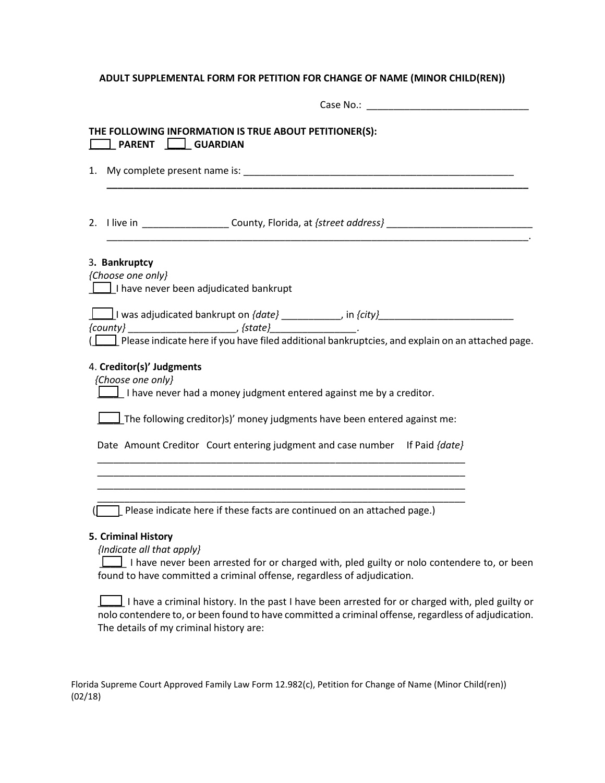### **ADULT SUPPLEMENTAL FORM FOR PETITION FOR CHANGE OF NAME (MINOR CHILD(REN))**

| Case No.:                                                                                                                                                                                                                 |  |  |
|---------------------------------------------------------------------------------------------------------------------------------------------------------------------------------------------------------------------------|--|--|
| THE FOLLOWING INFORMATION IS TRUE ABOUT PETITIONER(S):<br>PARENT GUARDIAN                                                                                                                                                 |  |  |
|                                                                                                                                                                                                                           |  |  |
| 2. I live in ______________________County, Florida, at {street address} ____________________________                                                                                                                      |  |  |
| 3. Bankruptcy<br>{Choose one only}<br>        have never been adjudicated bankrupt                                                                                                                                        |  |  |
| (Incording to an explain on an attached page.) Please indicate there if you have filed additional bankruptcies, and explain on an attached page.                                                                          |  |  |
| 4. Creditor(s)' Judgments<br>{Choose one only}<br>$\boxed{\phantom{a}}$ I have never had a money judgment entered against me by a creditor.                                                                               |  |  |
| $\boxed{\phantom{1} \boxed{\phantom{1} }}$ The following creditor)s)' money judgments have been entered against me:                                                                                                       |  |  |
| Date Amount Creditor Court entering judgment and case number If Paid {date}                                                                                                                                               |  |  |
|                                                                                                                                                                                                                           |  |  |
| Please indicate here if these facts are continued on an attached page.)                                                                                                                                                   |  |  |
| 5. Criminal History<br>{Indicate all that apply}<br>I have never been arrested for or charged with, pled guilty or nolo contendere to, or been<br>found to have committed a criminal offense, regardless of adjudication. |  |  |

 $\Box$  I have a criminal history. In the past I have been arrested for or charged with, pled guilty or nolo contendere to, or been found to have committed a criminal offense, regardless of adjudication. The details of my criminal history are: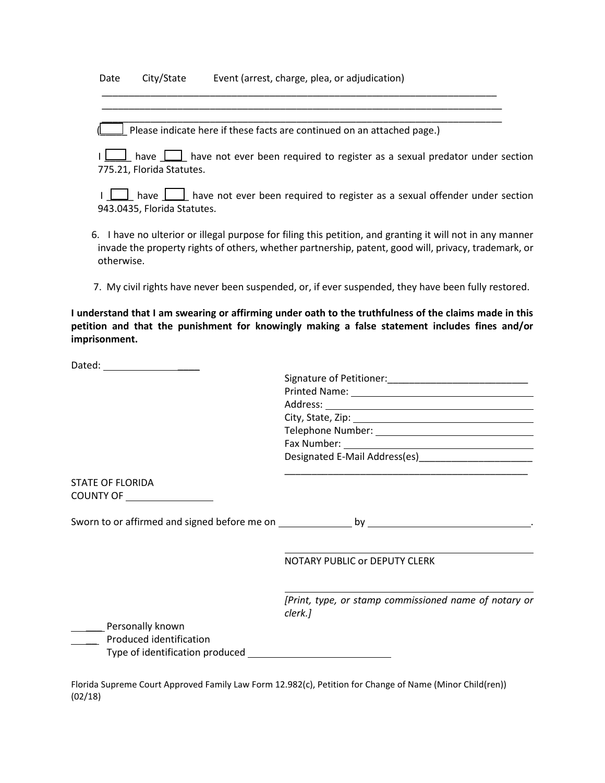| Date | City/State | Event (arrest, charge, plea, or adjudication) |
|------|------------|-----------------------------------------------|
|------|------------|-----------------------------------------------|

\_\_\_\_\_\_\_\_\_\_\_\_\_\_\_\_\_\_\_\_\_\_\_\_\_\_\_\_\_\_\_\_\_\_\_\_\_\_\_\_\_\_\_\_\_\_\_\_\_\_\_\_\_\_\_\_\_\_\_\_\_\_\_\_\_\_\_\_\_\_\_\_\_

| $\Box$ have $\Box$ have not ever been required to register as a sexual predator under section<br>$\Box$ have $\Box$ have not ever been required to register as a sexual offender under section<br>6. I have no ulterior or illegal purpose for filing this petition, and granting it will not in any manner<br>invade the property rights of others, whether partnership, patent, good will, privacy, trademark, or<br>7. My civil rights have never been suspended, or, if ever suspended, they have been fully restored.<br>I understand that I am swearing or affirming under oath to the truthfulness of the claims made in this<br>petition and that the punishment for knowingly making a false statement includes fines and/or |
|---------------------------------------------------------------------------------------------------------------------------------------------------------------------------------------------------------------------------------------------------------------------------------------------------------------------------------------------------------------------------------------------------------------------------------------------------------------------------------------------------------------------------------------------------------------------------------------------------------------------------------------------------------------------------------------------------------------------------------------|
|                                                                                                                                                                                                                                                                                                                                                                                                                                                                                                                                                                                                                                                                                                                                       |
|                                                                                                                                                                                                                                                                                                                                                                                                                                                                                                                                                                                                                                                                                                                                       |
|                                                                                                                                                                                                                                                                                                                                                                                                                                                                                                                                                                                                                                                                                                                                       |
|                                                                                                                                                                                                                                                                                                                                                                                                                                                                                                                                                                                                                                                                                                                                       |
|                                                                                                                                                                                                                                                                                                                                                                                                                                                                                                                                                                                                                                                                                                                                       |
|                                                                                                                                                                                                                                                                                                                                                                                                                                                                                                                                                                                                                                                                                                                                       |
|                                                                                                                                                                                                                                                                                                                                                                                                                                                                                                                                                                                                                                                                                                                                       |
|                                                                                                                                                                                                                                                                                                                                                                                                                                                                                                                                                                                                                                                                                                                                       |
|                                                                                                                                                                                                                                                                                                                                                                                                                                                                                                                                                                                                                                                                                                                                       |
|                                                                                                                                                                                                                                                                                                                                                                                                                                                                                                                                                                                                                                                                                                                                       |
|                                                                                                                                                                                                                                                                                                                                                                                                                                                                                                                                                                                                                                                                                                                                       |
| Fax Number:<br><u> 1980 - Andrea Andrew Maria (b. 1980)</u>                                                                                                                                                                                                                                                                                                                                                                                                                                                                                                                                                                                                                                                                           |
| Designated E-Mail Address(es) Manual Manual Manual Manual Manual Manual Manual Manual Manual Manual Manual Manual Ma                                                                                                                                                                                                                                                                                                                                                                                                                                                                                                                                                                                                                  |
|                                                                                                                                                                                                                                                                                                                                                                                                                                                                                                                                                                                                                                                                                                                                       |
|                                                                                                                                                                                                                                                                                                                                                                                                                                                                                                                                                                                                                                                                                                                                       |

NOTARY PUBLIC or DEPUTY CLERK

 *[Print, type, or stamp commissioned name of notary or clerk.]* 

Personally known

 $\overline{\phantom{0}}$  $\overline{\phantom{0}}$ 

**The Produced identification** 

Type of identification produced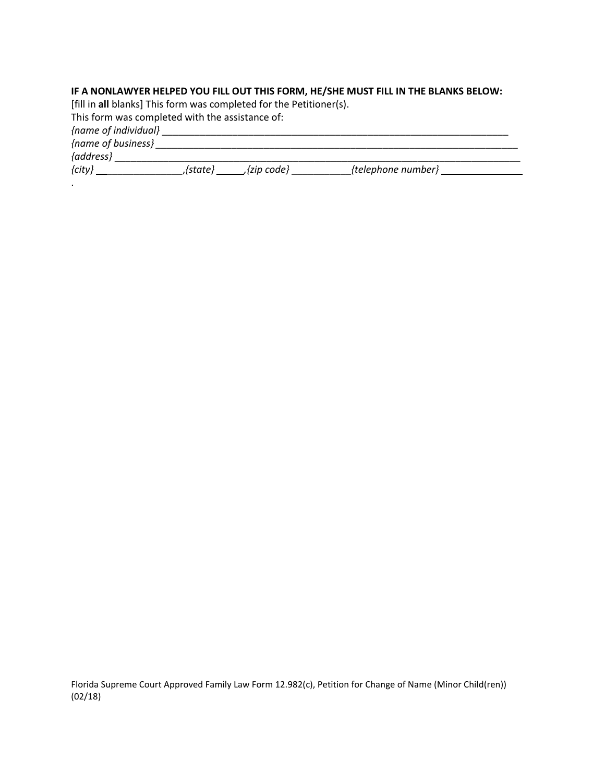### **IF A NONLAWYER HELPED YOU FILL OUT THIS FORM, HE/SHE MUST FILL IN THE BLANKS BELOW:**

[fill in **all** blanks] This form was completed for the Petitioner(s).

This form was completed with the assistance of:

*{name of individual}* \_\_\_\_\_\_\_\_\_\_\_\_\_\_\_\_\_\_\_\_\_\_\_\_\_\_\_\_\_\_\_\_\_\_\_\_\_\_\_\_\_\_\_\_\_\_\_\_\_\_\_\_\_\_\_\_\_\_\_\_\_\_\_\_

*{name of business} \_\_\_\_\_\_\_\_\_\_\_\_\_\_\_\_\_\_\_\_\_\_\_\_\_\_\_\_\_\_\_\_\_\_\_\_\_\_\_\_\_\_\_\_\_\_\_\_\_\_\_\_\_\_\_\_\_\_\_\_\_\_\_\_\_\_\_* 

*{address}* \_\_\_\_\_\_\_\_\_\_\_\_\_\_\_\_\_\_\_\_\_\_\_\_\_\_\_\_\_\_\_\_\_\_\_\_\_\_\_\_\_\_\_\_\_\_\_\_\_\_\_\_\_\_\_\_\_\_\_\_\_\_\_\_\_\_\_\_\_\_\_\_\_\_\_

.

 $\overline{a}$ *{city}* \_\_\_\_\_\_\_\_\_\_\_\_\_\_,*{state} \_\_\_\_\_,{zip code}* \_\_\_\_\_\_\_\_\_\_\_*{telephone number}* \_\_\_\_\_\_\_\_\_\_\_\_\_\_\_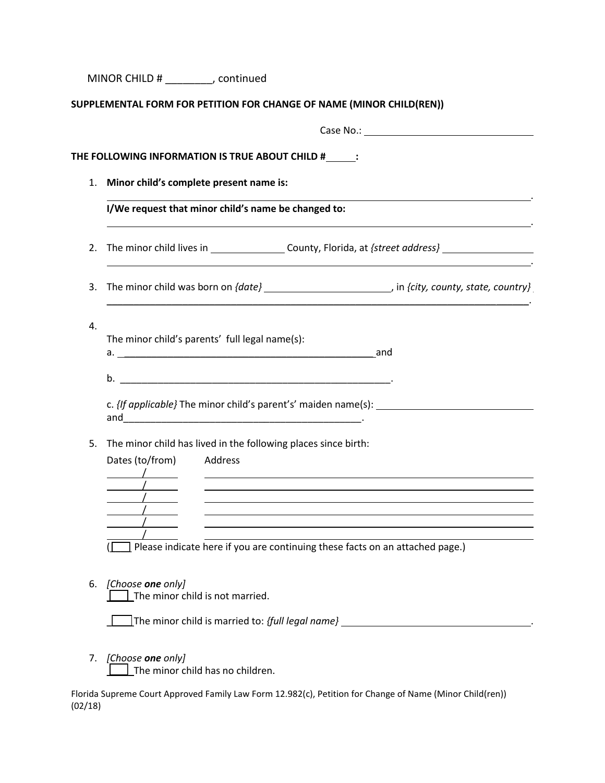MINOR CHILD # \_\_\_\_\_\_\_\_, continued

### **SUPPLEMENTAL FORM FOR PETITION FOR CHANGE OF NAME (MINOR CHILD(REN))**

| 1. | THE FOLLOWING INFORMATION IS TRUE ABOUT CHILD # :<br>Minor child's complete present name is:                                                                                                                                     |
|----|----------------------------------------------------------------------------------------------------------------------------------------------------------------------------------------------------------------------------------|
|    | I/We request that minor child's name be changed to:                                                                                                                                                                              |
| 2. | The minor child lives in ____________________County, Florida, at {street address} __________________                                                                                                                             |
| 3. |                                                                                                                                                                                                                                  |
| 4. | The minor child's parents' full legal name(s):<br>a. <u>Andreas and the second second second second second second second second second second second second second</u>                                                           |
|    | c. {If applicable} The minor child's parent's' maiden name(s):                                                                                                                                                                   |
| 5. | The minor child has lived in the following places since birth:<br>Dates (to/from)<br>Address<br>$\overline{\phantom{a}}$<br>$\frac{1}{2}$<br>$\Box$ Please indicate here if you are continuing these facts on an attached page.) |
| 6. | [Choose one only]<br>The minor child is not married.                                                                                                                                                                             |

Florida Supreme Court Approved Family Law Form 12.982(c), Petition for Change of Name (Minor Child(ren)) (02/18)

 7. *[Choose one only]* 

\_\_\_\_\_The minor child has no children.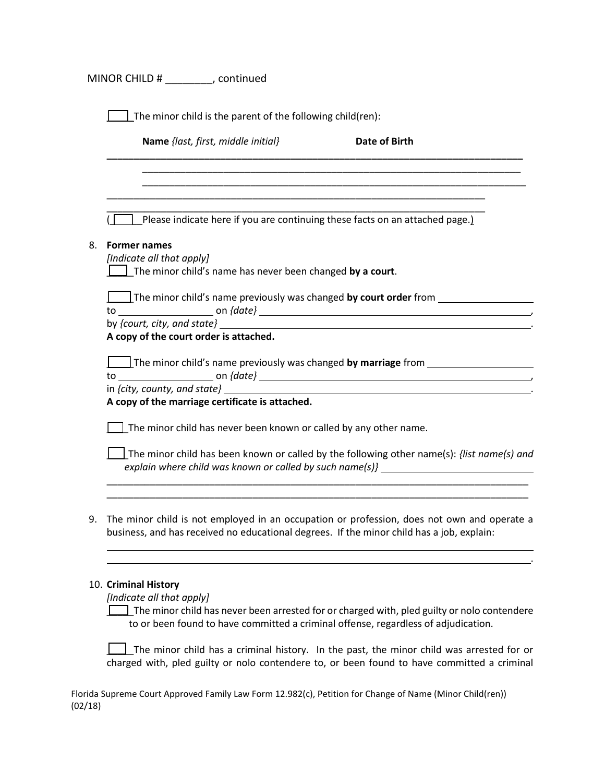| MINOR CHILD # | , continued |
|---------------|-------------|
|---------------|-------------|

| Name {last, first, middle initial}                                                            | Date of Birth                                                                                                                                                                           |
|-----------------------------------------------------------------------------------------------|-----------------------------------------------------------------------------------------------------------------------------------------------------------------------------------------|
|                                                                                               |                                                                                                                                                                                         |
| Please indicate here if you are continuing these facts on an attached page.)                  |                                                                                                                                                                                         |
| <b>Former names</b>                                                                           |                                                                                                                                                                                         |
| [Indicate all that apply]<br>$\Box$ The minor child's name has never been changed by a court. |                                                                                                                                                                                         |
|                                                                                               |                                                                                                                                                                                         |
|                                                                                               | The minor child's name previously was changed by court order from ______________                                                                                                        |
|                                                                                               | by {court, city, and state} $\overline{\phantom{a}}$                                                                                                                                    |
| A copy of the court order is attached.                                                        |                                                                                                                                                                                         |
|                                                                                               | The minor child's name previously was changed by marriage from _________________                                                                                                        |
|                                                                                               |                                                                                                                                                                                         |
| A copy of the marriage certificate is attached.                                               |                                                                                                                                                                                         |
| The minor child has never been known or called by any other name.                             |                                                                                                                                                                                         |
|                                                                                               | The minor child has been known or called by the following other name(s): <i>{list name(s) and</i><br>explain where child was known or called by such name(s)} $\qquad \qquad$           |
|                                                                                               | The minor child is not employed in an occupation or profession, does not own and operate a<br>business, and has received no educational degrees. If the minor child has a job, explain: |
| 10. Criminal History<br>[Indicate all that apply]                                             | The minor child has never been arrested for or charged with, pled guilty or nolo contendere                                                                                             |

 \_\_\_\_\_The minor child has a criminal history. In the past, the minor child was arrested for or charged with, pled guilty or nolo contendere to, or been found to have committed a criminal